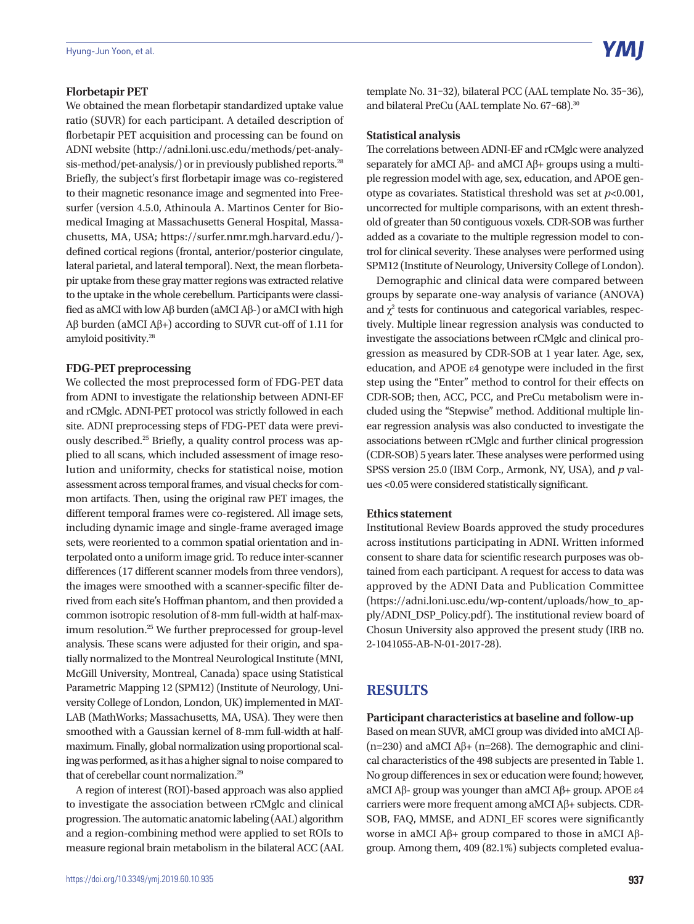#### **Florbetapir PET**

We obtained the mean florbetapir standardized uptake value ratio (SUVR) for each participant. A detailed description of florbetapir PET acquisition and processing can be found on ADNI website (http://adni.loni.usc.edu/methods/pet-analysis-method/pet-analysis/) or in previously published reports.<sup>28</sup> Briefly, the subject's first florbetapir image was co-registered to their magnetic resonance image and segmented into Freesurfer (version 4.5.0, Athinoula A. Martinos Center for Biomedical Imaging at Massachusetts General Hospital, Massachusetts, MA, USA; https://surfer.nmr.mgh.harvard.edu/) defined cortical regions (frontal, anterior/posterior cingulate, lateral parietal, and lateral temporal). Next, the mean florbetapir uptake from these gray matter regions was extracted relative to the uptake in the whole cerebellum. Participants were classified as aMCI with low Aβ burden (aMCI Aβ-) or aMCI with high Aβ burden (aMCI Aβ+) according to SUVR cut-off of 1.11 for amyloid positivity.28

## **FDG-PET preprocessing**

We collected the most preprocessed form of FDG-PET data from ADNI to investigate the relationship between ADNI-EF and rCMglc. ADNI-PET protocol was strictly followed in each site. ADNI preprocessing steps of FDG-PET data were previously described.25 Briefly, a quality control process was applied to all scans, which included assessment of image resolution and uniformity, checks for statistical noise, motion assessment across temporal frames, and visual checks for common artifacts. Then, using the original raw PET images, the different temporal frames were co-registered. All image sets, including dynamic image and single-frame averaged image sets, were reoriented to a common spatial orientation and interpolated onto a uniform image grid. To reduce inter-scanner differences (17 different scanner models from three vendors), the images were smoothed with a scanner-specific filter derived from each site's Hoffman phantom, and then provided a common isotropic resolution of 8-mm full-width at half-maximum resolution.<sup>25</sup> We further preprocessed for group-level analysis. These scans were adjusted for their origin, and spatially normalized to the Montreal Neurological Institute (MNI, McGill University, Montreal, Canada) space using Statistical Parametric Mapping 12 (SPM12) (Institute of Neurology, University College of London, London, UK) implemented in MAT-LAB (MathWorks; Massachusetts, MA, USA). They were then smoothed with a Gaussian kernel of 8-mm full-width at halfmaximum. Finally, global normalization using proportional scaling was performed, as it has a higher signal to noise compared to that of cerebellar count normalization.29

A region of interest (ROI)-based approach was also applied to investigate the association between rCMglc and clinical progression. The automatic anatomic labeling (AAL) algorithm and a region-combining method were applied to set ROIs to measure regional brain metabolism in the bilateral ACC (AAL template No. 31–32), bilateral PCC (AAL template No. 35–36), and bilateral PreCu (AAL template No. 67-68).<sup>30</sup>

#### **Statistical analysis**

The correlations between ADNI-EF and rCMglc were analyzed separately for aMCI Aβ- and aMCI Aβ+ groups using a multiple regression model with age, sex, education, and APOE genotype as covariates. Statistical threshold was set at *p*<0.001, uncorrected for multiple comparisons, with an extent threshold of greater than 50 contiguous voxels. CDR-SOB was further added as a covariate to the multiple regression model to control for clinical severity. These analyses were performed using SPM12 (Institute of Neurology, University College of London).

Demographic and clinical data were compared between groups by separate one-way analysis of variance (ANOVA) and  $\chi^2$  tests for continuous and categorical variables, respectively. Multiple linear regression analysis was conducted to investigate the associations between rCMglc and clinical progression as measured by CDR-SOB at 1 year later. Age, sex, education, and APOE ε4 genotype were included in the first step using the "Enter" method to control for their effects on CDR-SOB; then, ACC, PCC, and PreCu metabolism were included using the "Stepwise" method. Additional multiple linear regression analysis was also conducted to investigate the associations between rCMglc and further clinical progression (CDR-SOB) 5 years later. These analyses were performed using SPSS version 25.0 (IBM Corp., Armonk, NY, USA), and *p* values <0.05 were considered statistically significant.

#### **Ethics statement**

Institutional Review Boards approved the study procedures across institutions participating in ADNI. Written informed consent to share data for scientific research purposes was obtained from each participant. A request for access to data was approved by the ADNI Data and Publication Committee (https://adni.loni.usc.edu/wp-content/uploads/how\_to\_apply/ADNI\_DSP\_Policy.pdf). The institutional review board of Chosun University also approved the present study (IRB no. 2-1041055-AB-N-01-2017-28).

# **RESULTS**

### **Participant characteristics at baseline and follow-up**

Based on mean SUVR, aMCI group was divided into aMCI Aβ- (n=230) and aMCI Aβ+ (n=268). The demographic and clinical characteristics of the 498 subjects are presented in Table 1. No group differences in sex or education were found; however, aMCI Aβ- group was younger than aMCI Aβ+ group. APOE ε4 carriers were more frequent among aMCI Aβ+ subjects. CDR-SOB, FAQ, MMSE, and ADNI\_EF scores were significantly worse in aMCI Aβ+ group compared to those in aMCI Aβgroup. Among them, 409 (82.1%) subjects completed evalua-